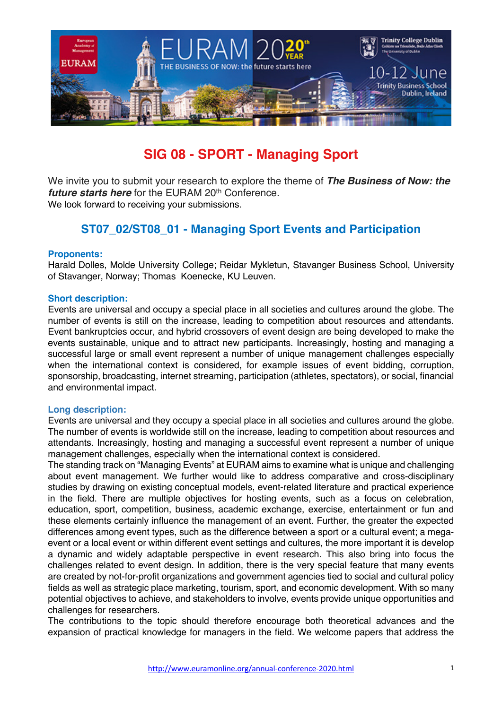

# **SIG 08 - SPORT - Managing Sport**

We invite you to submit your research to explore the theme of *The Business of Now: the future starts here* for the EURAM 20<sup>th</sup> Conference. We look forward to receiving your submissions.

# **ST07\_02/ST08\_01 - Managing Sport Events and Participation**

#### **Proponents:**

Harald Dolles, Molde University College; Reidar Mykletun, Stavanger Business School, University of Stavanger, Norway; Thomas Koenecke, KU Leuven.

#### **Short description:**

Events are universal and occupy a special place in all societies and cultures around the globe. The number of events is still on the increase, leading to competition about resources and attendants. Event bankruptcies occur, and hybrid crossovers of event design are being developed to make the events sustainable, unique and to attract new participants. Increasingly, hosting and managing a successful large or small event represent a number of unique management challenges especially when the international context is considered, for example issues of event bidding, corruption, sponsorship, broadcasting, internet streaming, participation (athletes, spectators), or social, financial and environmental impact.

#### **Long description:**

Events are universal and they occupy a special place in all societies and cultures around the globe. The number of events is worldwide still on the increase, leading to competition about resources and attendants. Increasingly, hosting and managing a successful event represent a number of unique management challenges, especially when the international context is considered.

The standing track on "Managing Events" at EURAM aims to examine what is unique and challenging about event management. We further would like to address comparative and cross-disciplinary studies by drawing on existing conceptual models, event-related literature and practical experience in the field. There are multiple objectives for hosting events, such as a focus on celebration, education, sport, competition, business, academic exchange, exercise, entertainment or fun and these elements certainly influence the management of an event. Further, the greater the expected differences among event types, such as the difference between a sport or a cultural event; a megaevent or a local event or within different event settings and cultures, the more important it is develop a dynamic and widely adaptable perspective in event research. This also bring into focus the challenges related to event design. In addition, there is the very special feature that many events are created by not-for-profit organizations and government agencies tied to social and cultural policy fields as well as strategic place marketing, tourism, sport, and economic development. With so many potential objectives to achieve, and stakeholders to involve, events provide unique opportunities and challenges for researchers.

The contributions to the topic should therefore encourage both theoretical advances and the expansion of practical knowledge for managers in the field. We welcome papers that address the